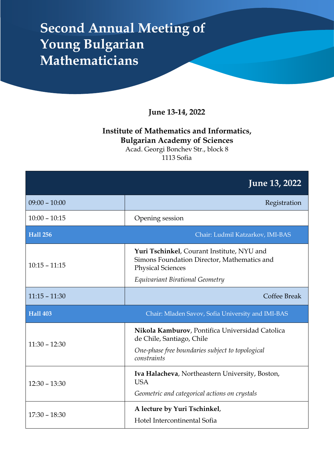## **Second Annual Meeting of Young Bulgarian Mathematicians**

**June 13-14, 2022**

### **Institute of Mathematics and Informatics, Bulgarian Academy of Sciences**

Acad. Georgi Bonchev Str., block 8 1113 Sofia

|                 | <b>June 13, 2022</b>                                                                                                                            |
|-----------------|-------------------------------------------------------------------------------------------------------------------------------------------------|
| $09:00 - 10:00$ | Registration                                                                                                                                    |
| $10:00 - 10:15$ | Opening session                                                                                                                                 |
| <b>Hall 256</b> | Chair: Ludmil Katzarkov, IMI-BAS                                                                                                                |
| $10:15 - 11:15$ | Yuri Tschinkel, Courant Institute, NYU and<br>Simons Foundation Director, Mathematics and<br><b>Physical Sciences</b>                           |
|                 | Equivariant Birational Geometry                                                                                                                 |
| $11:15 - 11:30$ | Coffee Break                                                                                                                                    |
| <b>Hall 403</b> | Chair: Mladen Savov, Sofia University and IMI-BAS                                                                                               |
| $11:30 - 12:30$ | Nikola Kamburov, Pontifica Universidad Catolica<br>de Chile, Santiago, Chile<br>One-phase free boundaries subject to topological<br>constraints |
| $12:30 - 13:30$ | Iva Halacheva, Northeastern University, Boston,<br><b>USA</b><br>Geometric and categorical actions on crystals                                  |
| $17:30 - 18:30$ | A lecture by Yuri Tschinkel,<br>Hotel Intercontinental Sofia                                                                                    |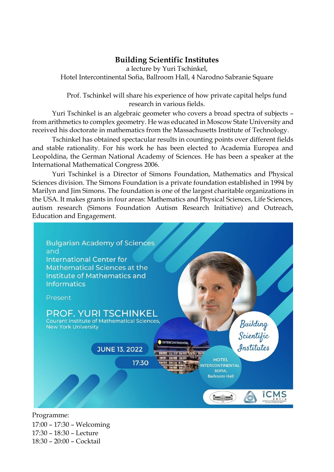#### **Building Scientific Institutes**

a lecture by Yuri Tschinkel, Hotel Intercontinental Sofia, Ballroom Hall, 4 Narodno Sabranie Square

Prof. Tschinkel will share his experience of how private capital helps fund research in various fields.

Yuri Tschinkel is an algebraic geometer who covers a broad spectra of subjects – from arithmetics to complex geometry. He was educated in Moscow State University and received his doctorate in mathematics from the Massachusetts Institute of Technology.

Tschinkel has obtained spectacular results in counting points over different fields and stable rationality. For his work he has been elected to Academia Europea and Leopoldina, the German National Academy of Sciences. He has been a speaker at the International Mathematical Congress 2006.

Yuri Tschinkel is a Director of Simons Foundation, Mathematics and Physical Sciences division. The Simons Foundation is a private foundation established in 1994 by Marilyn and Jim Simons. The foundation is one of the largest charitable organizations in the USA. It makes grants in four areas: Mathematics and Physical Sciences, Life Sciences, autism research (Simons Foundation Autism Research Initiative) and Outreach, Education and Engagement.



Programme: 17:00 – 17:30 – Welcoming 17:30 – 18:30 – Lecture 18:30 – 20:00 – Cocktail